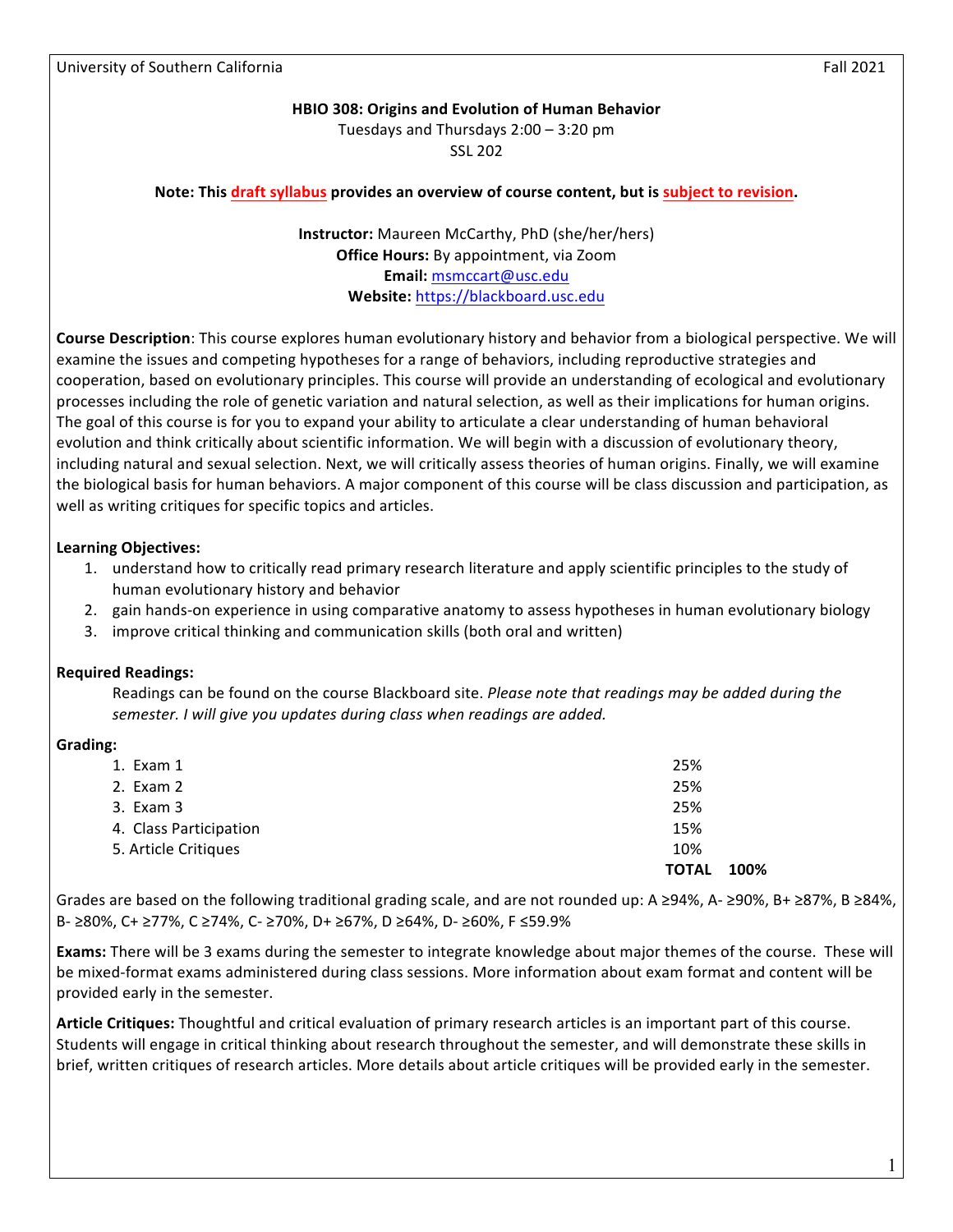#### **HBIO 308: Origins and Evolution of Human Behavior**

Tuesdays and Thursdays  $2:00 - 3:20$  pm

SSL 202

#### **Note:** This draft syllabus provides an overview of course content, but is subject to revision.

**Instructor:** Maureen McCarthy, PhD (she/her/hers) **Office Hours:** By appointment, via Zoom **Email:** msmccart@usc.edu **Website:** https://blackboard.usc.edu

**Course Description**: This course explores human evolutionary history and behavior from a biological perspective. We will examine the issues and competing hypotheses for a range of behaviors, including reproductive strategies and cooperation, based on evolutionary principles. This course will provide an understanding of ecological and evolutionary processes including the role of genetic variation and natural selection, as well as their implications for human origins. The goal of this course is for you to expand your ability to articulate a clear understanding of human behavioral evolution and think critically about scientific information. We will begin with a discussion of evolutionary theory, including natural and sexual selection. Next, we will critically assess theories of human origins. Finally, we will examine the biological basis for human behaviors. A major component of this course will be class discussion and participation, as well as writing critiques for specific topics and articles.

#### **Learning Objectives:**

- 1. understand how to critically read primary research literature and apply scientific principles to the study of human evolutionary history and behavior
- 2. gain hands-on experience in using comparative anatomy to assess hypotheses in human evolutionary biology
- 3. improve critical thinking and communication skills (both oral and written)

### **Required Readings:**

Readings can be found on the course Blackboard site. *Please note that readings may be added during the* semester. I will give you updates during class when readings are added.

#### **Grading:**

|                        | <b>TOTAL</b><br>100% |
|------------------------|----------------------|
| 5. Article Critiques   | 10%                  |
| 4. Class Participation | 15%                  |
| 3. Exam 3              | 25%                  |
| 2. Exam 2              | 25%                  |
| 1. Exam 1              | 25%                  |
|                        |                      |

Grades are based on the following traditional grading scale, and are not rounded up: A ≥94%, A- ≥90%, B+ ≥87%, B ≥84%, B- ≥80%, C+ ≥77%, C ≥74%, C- ≥70%, D+ ≥67%, D ≥64%, D- ≥60%, F ≤59.9%

**Exams:** There will be 3 exams during the semester to integrate knowledge about major themes of the course. These will be mixed-format exams administered during class sessions. More information about exam format and content will be provided early in the semester.

Article Critiques: Thoughtful and critical evaluation of primary research articles is an important part of this course. Students will engage in critical thinking about research throughout the semester, and will demonstrate these skills in brief, written critiques of research articles. More details about article critiques will be provided early in the semester.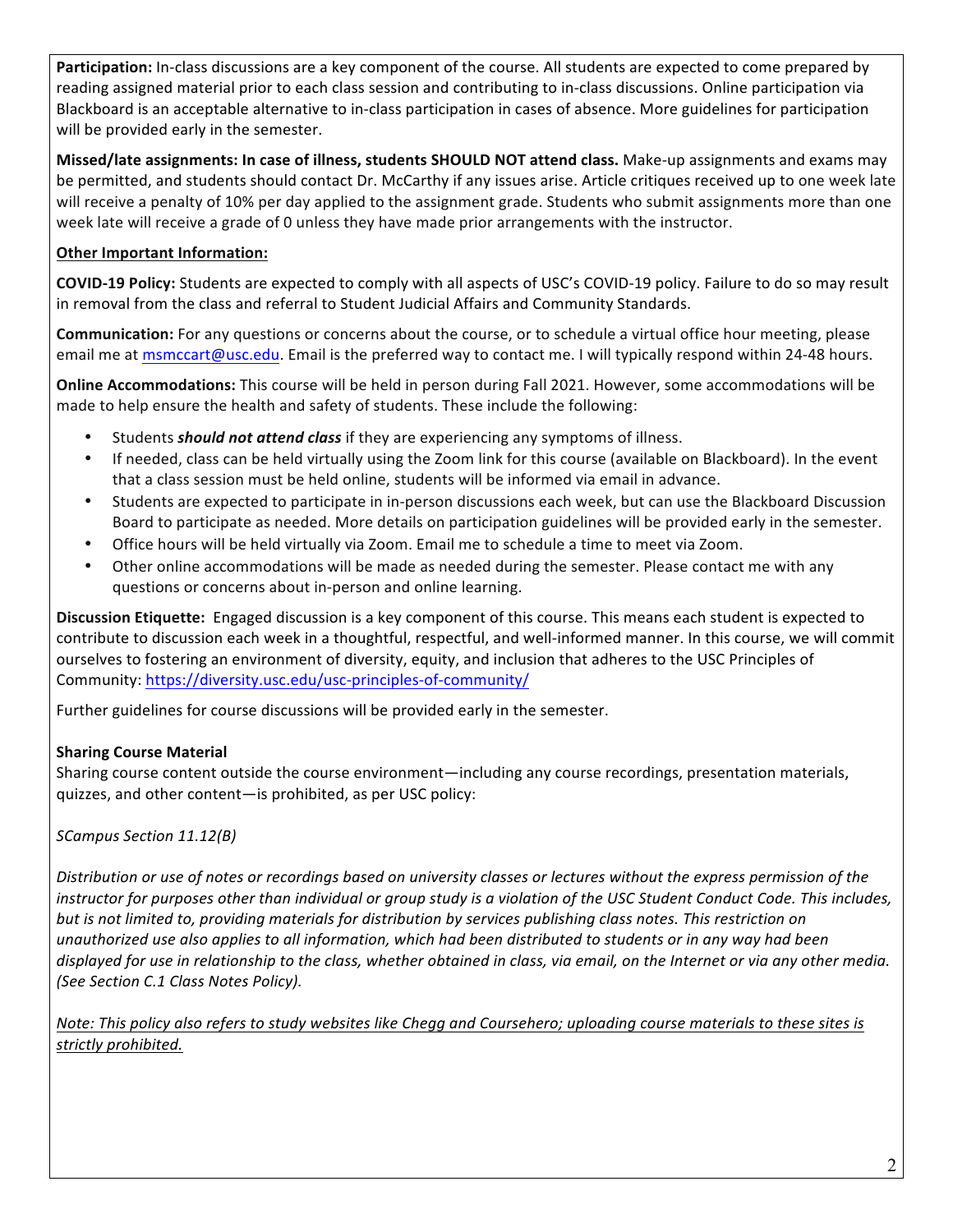Participation: In-class discussions are a key component of the course. All students are expected to come prepared by reading assigned material prior to each class session and contributing to in-class discussions. Online participation via Blackboard is an acceptable alternative to in-class participation in cases of absence. More guidelines for participation will be provided early in the semester.

**Missed/late assignments: In case of illness, students SHOULD NOT attend class.** Make-up assignments and exams may be permitted, and students should contact Dr. McCarthy if any issues arise. Article critiques received up to one week late will receive a penalty of 10% per day applied to the assignment grade. Students who submit assignments more than one week late will receive a grade of 0 unless they have made prior arrangements with the instructor.

# **Other Important Information:**

**COVID-19 Policy:** Students are expected to comply with all aspects of USC's COVID-19 policy. Failure to do so may result in removal from the class and referral to Student Judicial Affairs and Community Standards.

**Communication:** For any questions or concerns about the course, or to schedule a virtual office hour meeting, please email me at msmccart@usc.edu. Email is the preferred way to contact me. I will typically respond within 24-48 hours.

**Online Accommodations:** This course will be held in person during Fall 2021. However, some accommodations will be made to help ensure the health and safety of students. These include the following:

- Students **should not attend class** if they are experiencing any symptoms of illness.
- If needed, class can be held virtually using the Zoom link for this course (available on Blackboard). In the event that a class session must be held online, students will be informed via email in advance.
- Students are expected to participate in in-person discussions each week, but can use the Blackboard Discussion Board to participate as needed. More details on participation guidelines will be provided early in the semester.
- Office hours will be held virtually via Zoom. Email me to schedule a time to meet via Zoom.
- Other online accommodations will be made as needed during the semester. Please contact me with any questions or concerns about in-person and online learning.

**Discussion Etiquette:** Engaged discussion is a key component of this course. This means each student is expected to contribute to discussion each week in a thoughtful, respectful, and well-informed manner. In this course, we will commit ourselves to fostering an environment of diversity, equity, and inclusion that adheres to the USC Principles of Community: https://diversity.usc.edu/usc-principles-of-community/

Further guidelines for course discussions will be provided early in the semester.

# **Sharing Course Material**

Sharing course content outside the course environment—including any course recordings, presentation materials, quizzes, and other content-is prohibited, as per USC policy:

*SCampus Section 11.12(B)*

Distribution or use of notes or recordings based on university classes or lectures without the express permission of the *instructor for purposes other than individual or group study is a violation of the USC Student Conduct Code. This includes, but* is not limited to, providing materials for distribution by services publishing class notes. This restriction on *unauthorized use also applies to all information, which had been distributed to students or in any way had been displayed for use in relationship to the class, whether obtained in class, via email, on the Internet or via any other media. (See Section C.1 Class Notes Policy).*

*Note:* This policy also refers to study websites like Chegg and Coursehero; uploading course materials to these sites is strictly prohibited.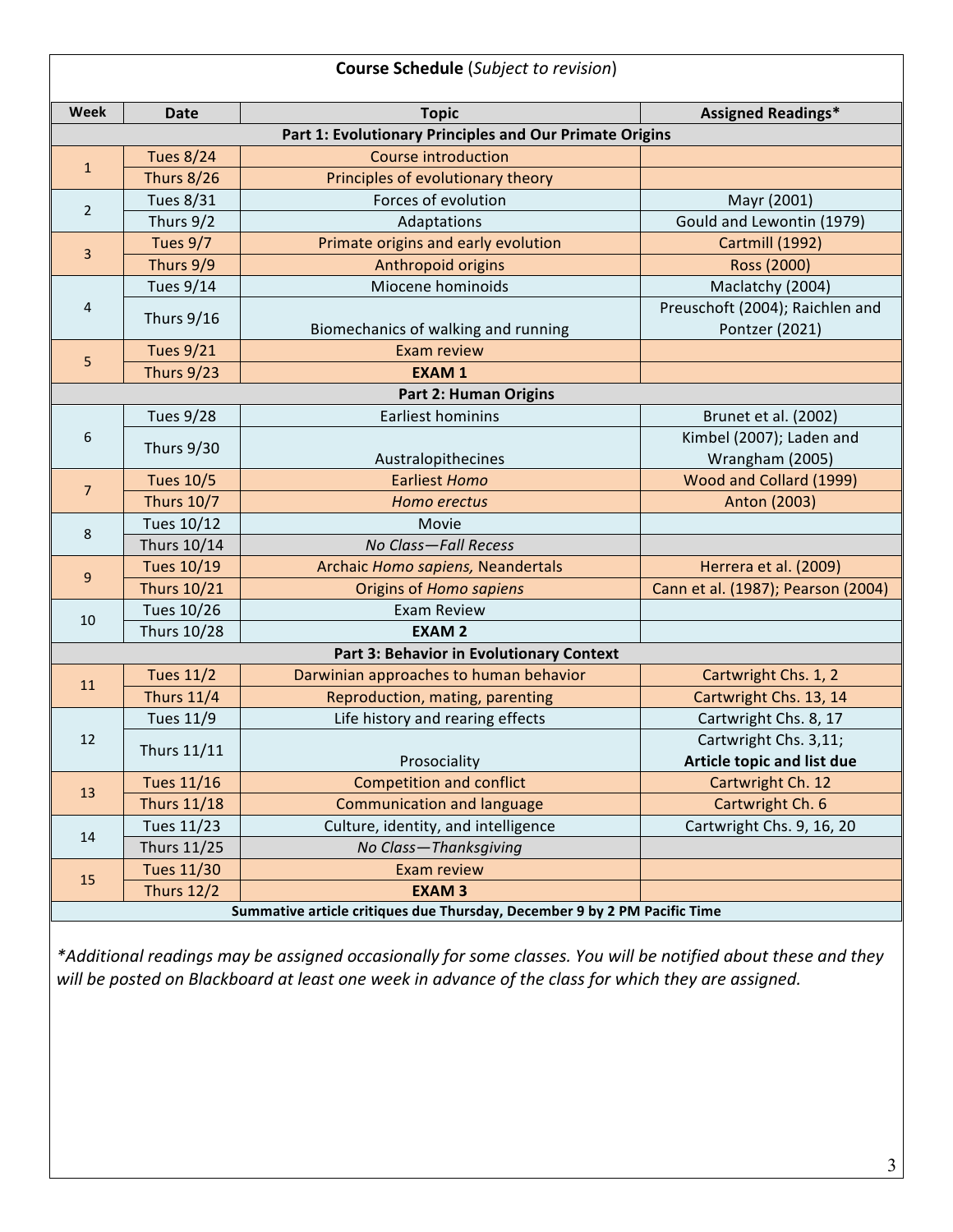| <b>Course Schedule</b> (Subject to revision)                              |                    |                                        |                                                   |  |
|---------------------------------------------------------------------------|--------------------|----------------------------------------|---------------------------------------------------|--|
| Week                                                                      | Date               | <b>Topic</b>                           | <b>Assigned Readings*</b>                         |  |
| Part 1: Evolutionary Principles and Our Primate Origins                   |                    |                                        |                                                   |  |
| $\mathbf{1}$                                                              | <b>Tues 8/24</b>   | <b>Course introduction</b>             |                                                   |  |
|                                                                           | <b>Thurs 8/26</b>  | Principles of evolutionary theory      |                                                   |  |
| $\overline{2}$                                                            | <b>Tues 8/31</b>   | Forces of evolution                    | Mayr (2001)                                       |  |
|                                                                           | Thurs 9/2          | Adaptations                            | Gould and Lewontin (1979)                         |  |
| $\overline{3}$                                                            | Tues 9/7           | Primate origins and early evolution    | Cartmill (1992)                                   |  |
|                                                                           | Thurs 9/9          | Anthropoid origins                     | Ross (2000)                                       |  |
| 4                                                                         | <b>Tues 9/14</b>   | Miocene hominoids                      | Maclatchy (2004)                                  |  |
|                                                                           | <b>Thurs 9/16</b>  | Biomechanics of walking and running    | Preuschoft (2004); Raichlen and<br>Pontzer (2021) |  |
| 5                                                                         | <b>Tues 9/21</b>   | <b>Exam review</b>                     |                                                   |  |
|                                                                           | Thurs 9/23         | <b>EXAM1</b>                           |                                                   |  |
| <b>Part 2: Human Origins</b>                                              |                    |                                        |                                                   |  |
|                                                                           | <b>Tues 9/28</b>   | Earliest hominins                      | Brunet et al. (2002)                              |  |
| 6                                                                         | <b>Thurs 9/30</b>  |                                        | Kimbel (2007); Laden and                          |  |
|                                                                           |                    | Australopithecines                     | Wrangham (2005)                                   |  |
| $\overline{7}$                                                            | <b>Tues 10/5</b>   | <b>Earliest Homo</b>                   | Wood and Collard (1999)                           |  |
|                                                                           | <b>Thurs 10/7</b>  | Homo erectus                           | Anton (2003)                                      |  |
| 8                                                                         | Tues 10/12         | Movie                                  |                                                   |  |
|                                                                           | Thurs 10/14        | No Class-Fall Recess                   |                                                   |  |
| $\boldsymbol{9}$                                                          | <b>Tues 10/19</b>  | Archaic Homo sapiens, Neandertals      | Herrera et al. (2009)                             |  |
|                                                                           | <b>Thurs 10/21</b> | Origins of Homo sapiens                | Cann et al. (1987); Pearson (2004)                |  |
| 10                                                                        | Tues 10/26         | <b>Exam Review</b>                     |                                                   |  |
|                                                                           | <b>Thurs 10/28</b> | <b>EXAM2</b>                           |                                                   |  |
| <b>Part 3: Behavior in Evolutionary Context</b>                           |                    |                                        |                                                   |  |
| 11                                                                        | <b>Tues 11/2</b>   | Darwinian approaches to human behavior | Cartwright Chs. 1, 2                              |  |
|                                                                           | <b>Thurs 11/4</b>  | Reproduction, mating, parenting        | Cartwright Chs. 13, 14                            |  |
|                                                                           | <b>Tues 11/9</b>   | Life history and rearing effects       | Cartwright Chs. 8, 17                             |  |
| 12                                                                        | Thurs 11/11        |                                        | Cartwright Chs. 3,11;                             |  |
|                                                                           |                    | Prosociality                           | Article topic and list due                        |  |
| 13                                                                        | <b>Tues 11/16</b>  | <b>Competition and conflict</b>        | Cartwright Ch. 12                                 |  |
|                                                                           | <b>Thurs 11/18</b> | <b>Communication and language</b>      | Cartwright Ch. 6                                  |  |
| 14                                                                        | Tues 11/23         | Culture, identity, and intelligence    | Cartwright Chs. 9, 16, 20                         |  |
|                                                                           | <b>Thurs 11/25</b> | No Class-Thanksgiving                  |                                                   |  |
| 15                                                                        | <b>Tues 11/30</b>  | <b>Exam review</b>                     |                                                   |  |
|                                                                           | <b>Thurs 12/2</b>  | <b>EXAM3</b>                           |                                                   |  |
| Summative article critiques due Thursday, December 9 by 2 PM Pacific Time |                    |                                        |                                                   |  |

\*Additional readings may be assigned occasionally for some classes. You will be notified about these and they will be posted on Blackboard at least one week in advance of the class for which they are assigned.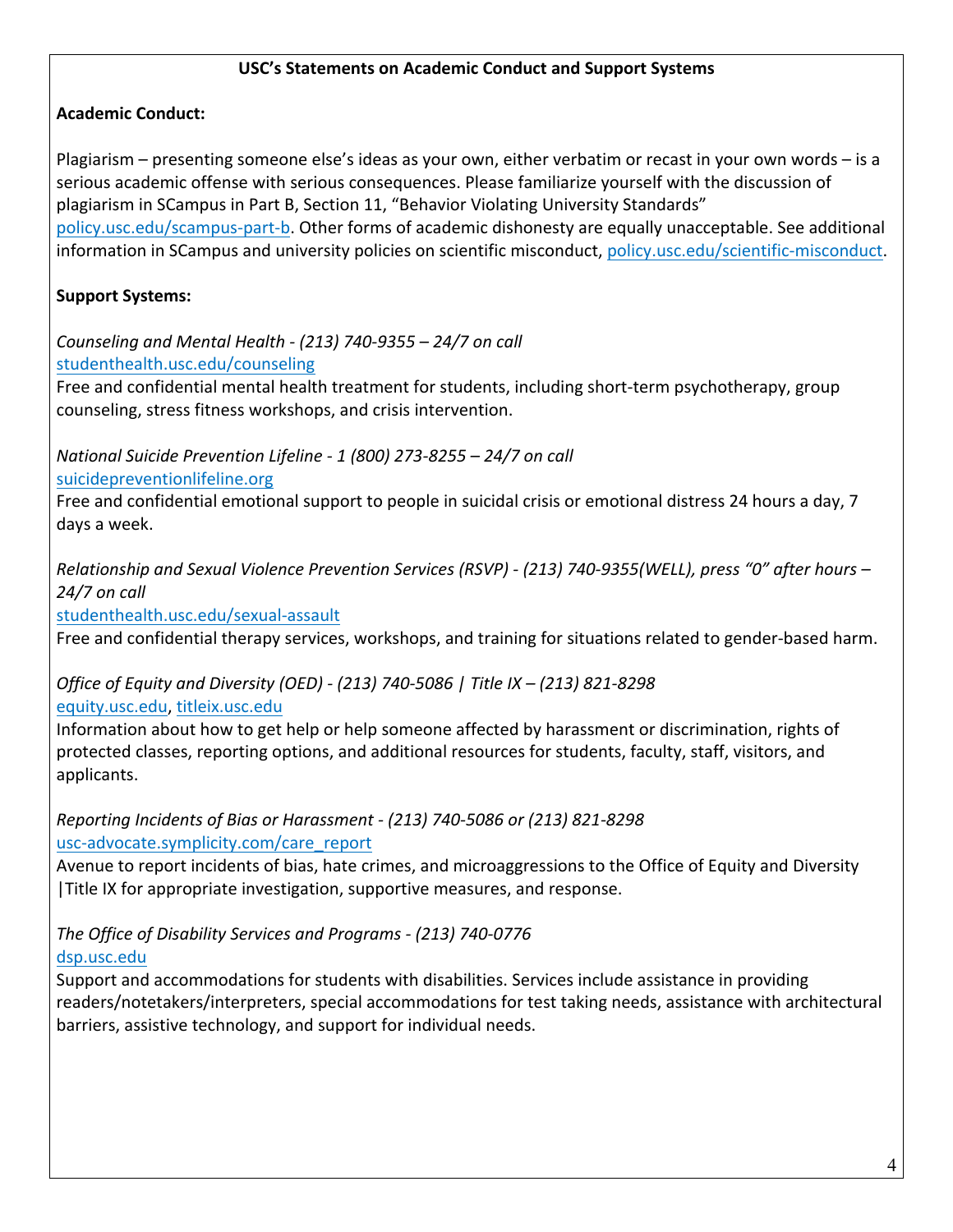## **USC's Statements on Academic Conduct and Support Systems**

# **Academic Conduct:**

Plagiarism – presenting someone else's ideas as your own, either verbatim or recast in your own words – is a serious academic offense with serious consequences. Please familiarize yourself with the discussion of plagiarism in SCampus in Part B, Section 11, "Behavior Violating University Standards" policy.usc.edu/scampus-part-b. Other forms of academic dishonesty are equally unacceptable. See additional information in SCampus and university policies on scientific misconduct, policy.usc.edu/scientific-misconduct.

# **Support Systems:**

*Counseling and Mental Health - (213) 740-9355 – 24/7 on call* studenthealth.usc.edu/counseling

Free and confidential mental health treatment for students, including short-term psychotherapy, group counseling, stress fitness workshops, and crisis intervention.

*National Suicide Prevention Lifeline - 1 (800) 273-8255 – 24/7 on call* suicidepreventionlifeline.org

Free and confidential emotional support to people in suicidal crisis or emotional distress 24 hours a day, 7 days a week.

*Relationship and Sexual Violence Prevention Services (RSVP) - (213) 740-9355(WELL), press "0" after hours – 24/7 on call*

studenthealth.usc.edu/sexual-assault

Free and confidential therapy services, workshops, and training for situations related to gender-based harm.

# *Office of Equity and Diversity (OED) - (213) 740-5086 | Title IX – (213) 821-8298*

equity.usc.edu, titleix.usc.edu

Information about how to get help or help someone affected by harassment or discrimination, rights of protected classes, reporting options, and additional resources for students, faculty, staff, visitors, and applicants. 

#### *Reporting Incidents of Bias or Harassment - (213) 740-5086 or (213) 821-8298* usc-advocate.symplicity.com/care\_report

Avenue to report incidents of bias, hate crimes, and microaggressions to the Office of Equity and Diversity | Title IX for appropriate investigation, supportive measures, and response.

# *The Office of Disability Services and Programs - (213) 740-0776*

dsp.usc.edu

Support and accommodations for students with disabilities. Services include assistance in providing readers/notetakers/interpreters, special accommodations for test taking needs, assistance with architectural barriers, assistive technology, and support for individual needs.